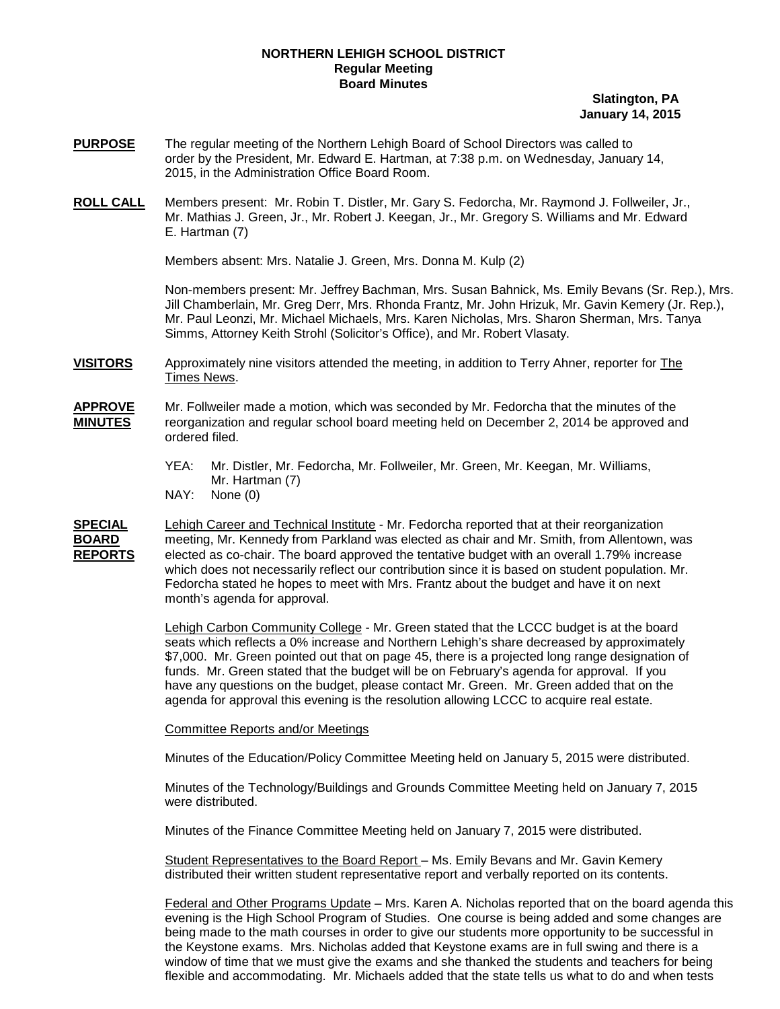### **NORTHERN LEHIGH SCHOOL DISTRICT Regular Meeting Board Minutes**

### **Slatington, PA January 14, 2015**

- **PURPOSE** The regular meeting of the Northern Lehigh Board of School Directors was called to order by the President, Mr. Edward E. Hartman, at 7:38 p.m. on Wednesday, January 14, 2015, in the Administration Office Board Room.
- **ROLL CALL** Members present: Mr. Robin T. Distler, Mr. Gary S. Fedorcha, Mr. Raymond J. Follweiler, Jr., Mr. Mathias J. Green, Jr., Mr. Robert J. Keegan, Jr., Mr. Gregory S. Williams and Mr. Edward E. Hartman (7)

Members absent: Mrs. Natalie J. Green, Mrs. Donna M. Kulp (2)

Non-members present: Mr. Jeffrey Bachman, Mrs. Susan Bahnick, Ms. Emily Bevans (Sr. Rep.), Mrs. Jill Chamberlain, Mr. Greg Derr, Mrs. Rhonda Frantz, Mr. John Hrizuk, Mr. Gavin Kemery (Jr. Rep.), Mr. Paul Leonzi, Mr. Michael Michaels, Mrs. Karen Nicholas, Mrs. Sharon Sherman, Mrs. Tanya Simms, Attorney Keith Strohl (Solicitor's Office), and Mr. Robert Vlasaty.

**VISITORS** Approximately nine visitors attended the meeting, in addition to Terry Ahner, reporter for The Times News.

**APPROVE** Mr. Follweiler made a motion, which was seconded by Mr. Fedorcha that the minutes of the **MINUTES** reorganization and regular school board meeting held on December 2, 2014 be approved and ordered filed.

- YEA: Mr. Distler, Mr. Fedorcha, Mr. Follweiler, Mr. Green, Mr. Keegan, Mr. Williams, Mr. Hartman (7)
- NAY: None (0)

**SPECIAL** Lehigh Career and Technical Institute - Mr. Fedorcha reported that at their reorganization **BOARD** meeting, Mr. Kennedy from Parkland was elected as chair and Mr. Smith, from Allentown, was **REPORTS** elected as co-chair. The board approved the tentative budget with an overall 1.79% increase **REPORTS** elected as co-chair. The board approved the tentative budget with an overall 1.79% increase which does not necessarily reflect our contribution since it is based on student population. Mr. Fedorcha stated he hopes to meet with Mrs. Frantz about the budget and have it on next month's agenda for approval.

> Lehigh Carbon Community College - Mr. Green stated that the LCCC budget is at the board seats which reflects a 0% increase and Northern Lehigh's share decreased by approximately \$7,000. Mr. Green pointed out that on page 45, there is a projected long range designation of funds. Mr. Green stated that the budget will be on February's agenda for approval. If you have any questions on the budget, please contact Mr. Green. Mr. Green added that on the agenda for approval this evening is the resolution allowing LCCC to acquire real estate.

#### Committee Reports and/or Meetings

Minutes of the Education/Policy Committee Meeting held on January 5, 2015 were distributed.

Minutes of the Technology/Buildings and Grounds Committee Meeting held on January 7, 2015 were distributed.

Minutes of the Finance Committee Meeting held on January 7, 2015 were distributed.

Student Representatives to the Board Report – Ms. Emily Bevans and Mr. Gavin Kemery distributed their written student representative report and verbally reported on its contents.

Federal and Other Programs Update – Mrs. Karen A. Nicholas reported that on the board agenda this evening is the High School Program of Studies. One course is being added and some changes are being made to the math courses in order to give our students more opportunity to be successful in the Keystone exams. Mrs. Nicholas added that Keystone exams are in full swing and there is a window of time that we must give the exams and she thanked the students and teachers for being flexible and accommodating. Mr. Michaels added that the state tells us what to do and when tests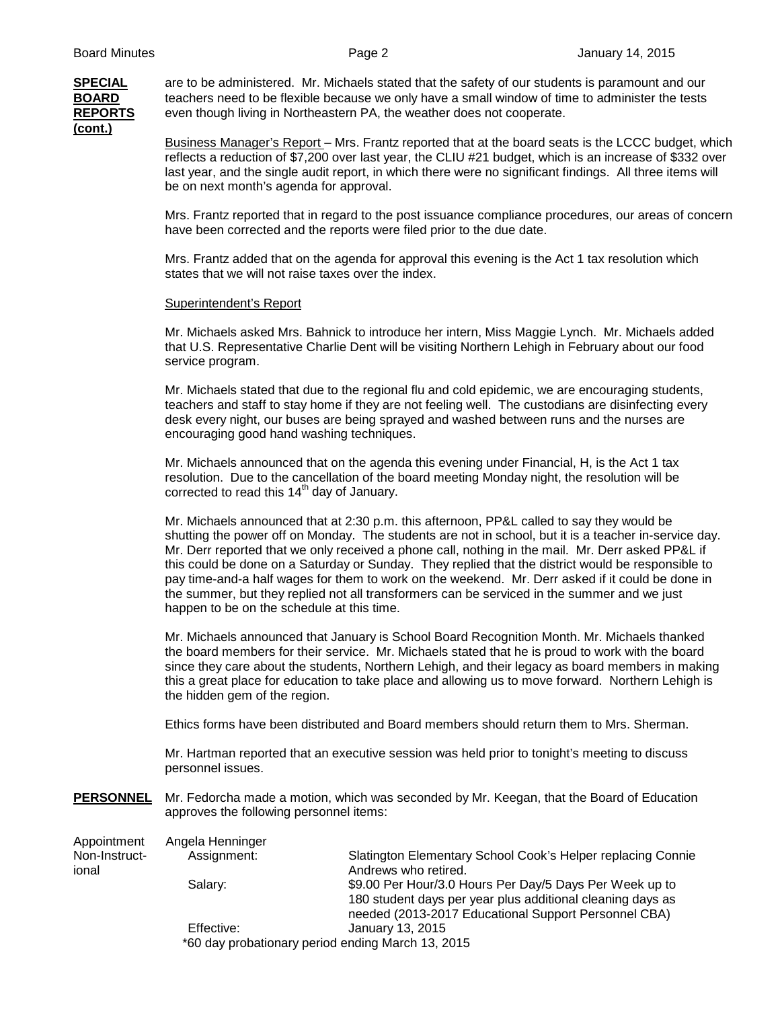# **(cont.)**

**SPECIAL** are to be administered. Mr. Michaels stated that the safety of our students is paramount and our **BOARD** teachers need to be flexible because we only have a small window of time to administer the tests **REPORTS** even though living in Northeastern PA, the weather does not cooperate.

> Business Manager's Report – Mrs. Frantz reported that at the board seats is the LCCC budget, which reflects a reduction of \$7,200 over last year, the CLIU #21 budget, which is an increase of \$332 over last year, and the single audit report, in which there were no significant findings. All three items will be on next month's agenda for approval.

> Mrs. Frantz reported that in regard to the post issuance compliance procedures, our areas of concern have been corrected and the reports were filed prior to the due date.

Mrs. Frantz added that on the agenda for approval this evening is the Act 1 tax resolution which states that we will not raise taxes over the index.

### Superintendent's Report

Mr. Michaels asked Mrs. Bahnick to introduce her intern, Miss Maggie Lynch. Mr. Michaels added that U.S. Representative Charlie Dent will be visiting Northern Lehigh in February about our food service program.

Mr. Michaels stated that due to the regional flu and cold epidemic, we are encouraging students, teachers and staff to stay home if they are not feeling well. The custodians are disinfecting every desk every night, our buses are being sprayed and washed between runs and the nurses are encouraging good hand washing techniques.

Mr. Michaels announced that on the agenda this evening under Financial, H, is the Act 1 tax resolution. Due to the cancellation of the board meeting Monday night, the resolution will be corrected to read this  $14<sup>th</sup>$  day of January.

Mr. Michaels announced that at 2:30 p.m. this afternoon, PP&L called to say they would be shutting the power off on Monday. The students are not in school, but it is a teacher in-service day. Mr. Derr reported that we only received a phone call, nothing in the mail. Mr. Derr asked PP&L if this could be done on a Saturday or Sunday. They replied that the district would be responsible to pay time-and-a half wages for them to work on the weekend. Mr. Derr asked if it could be done in the summer, but they replied not all transformers can be serviced in the summer and we just happen to be on the schedule at this time.

Mr. Michaels announced that January is School Board Recognition Month. Mr. Michaels thanked the board members for their service. Mr. Michaels stated that he is proud to work with the board since they care about the students, Northern Lehigh, and their legacy as board members in making this a great place for education to take place and allowing us to move forward. Northern Lehigh is the hidden gem of the region.

Ethics forms have been distributed and Board members should return them to Mrs. Sherman.

Mr. Hartman reported that an executive session was held prior to tonight's meeting to discuss personnel issues.

**PERSONNEL** Mr. Fedorcha made a motion, which was seconded by Mr. Keegan, that the Board of Education approves the following personnel items:

Appointment Angela Henninger<br>Non-Instruct- Assignment: Non-Instruct- Assignment: Slatington Elementary School Cook's Helper replacing Connie<br>Andrews who retired Andrews who retired. Salary: \$9.00 Per Hour/3.0 Hours Per Day/5 Days Per Week up to 180 student days per year plus additional cleaning days as needed (2013-2017 Educational Support Personnel CBA) Effective: January 13, 2015 \*60 day probationary period ending March 13, 2015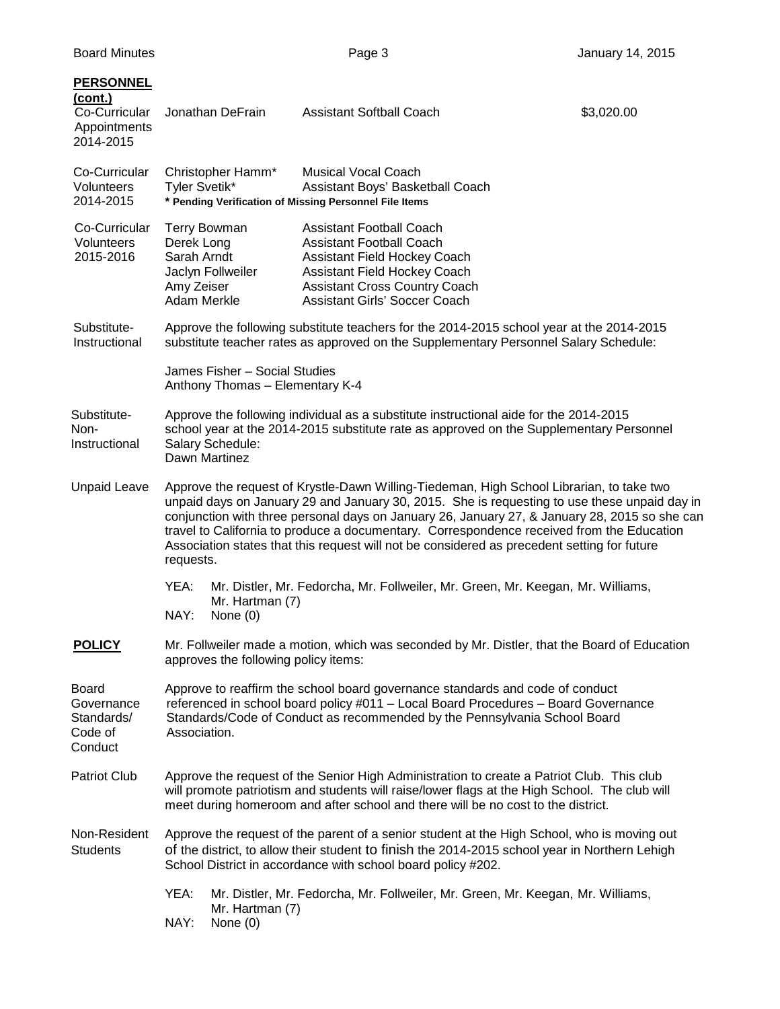| <b>PERSONNEL</b><br>(cont.)<br>Co-Curricular<br>Appointments<br>2014-2015 |                                                                                                                                                                                                                                                                                                                                                                                                                                                                                                    | Jonathan DeFrain                         | <b>Assistant Softball Coach</b>                                                                                                                                                                                           | \$3,020.00 |  |
|---------------------------------------------------------------------------|----------------------------------------------------------------------------------------------------------------------------------------------------------------------------------------------------------------------------------------------------------------------------------------------------------------------------------------------------------------------------------------------------------------------------------------------------------------------------------------------------|------------------------------------------|---------------------------------------------------------------------------------------------------------------------------------------------------------------------------------------------------------------------------|------------|--|
| Co-Curricular<br>Volunteers<br>2014-2015                                  | <b>Musical Vocal Coach</b><br>Christopher Hamm*<br>Tyler Svetik*<br>Assistant Boys' Basketball Coach<br>* Pending Verification of Missing Personnel File Items                                                                                                                                                                                                                                                                                                                                     |                                          |                                                                                                                                                                                                                           |            |  |
| Co-Curricular<br>Volunteers<br>2015-2016                                  | Derek Long<br>Sarah Arndt<br>Amy Zeiser<br>Adam Merkle                                                                                                                                                                                                                                                                                                                                                                                                                                             | <b>Terry Bowman</b><br>Jaclyn Follweiler | <b>Assistant Football Coach</b><br><b>Assistant Football Coach</b><br><b>Assistant Field Hockey Coach</b><br>Assistant Field Hockey Coach<br><b>Assistant Cross Country Coach</b><br><b>Assistant Girls' Soccer Coach</b> |            |  |
| Substitute-<br>Instructional                                              | Approve the following substitute teachers for the 2014-2015 school year at the 2014-2015<br>substitute teacher rates as approved on the Supplementary Personnel Salary Schedule:                                                                                                                                                                                                                                                                                                                   |                                          |                                                                                                                                                                                                                           |            |  |
|                                                                           | James Fisher - Social Studies<br>Anthony Thomas - Elementary K-4                                                                                                                                                                                                                                                                                                                                                                                                                                   |                                          |                                                                                                                                                                                                                           |            |  |
| Substitute-<br>Non-<br>Instructional                                      | Approve the following individual as a substitute instructional aide for the 2014-2015<br>school year at the 2014-2015 substitute rate as approved on the Supplementary Personnel<br>Salary Schedule:<br>Dawn Martinez                                                                                                                                                                                                                                                                              |                                          |                                                                                                                                                                                                                           |            |  |
| <b>Unpaid Leave</b>                                                       | Approve the request of Krystle-Dawn Willing-Tiedeman, High School Librarian, to take two<br>unpaid days on January 29 and January 30, 2015. She is requesting to use these unpaid day in<br>conjunction with three personal days on January 26, January 27, & January 28, 2015 so she can<br>travel to California to produce a documentary. Correspondence received from the Education<br>Association states that this request will not be considered as precedent setting for future<br>requests. |                                          |                                                                                                                                                                                                                           |            |  |
|                                                                           | YEA:<br>NAY:                                                                                                                                                                                                                                                                                                                                                                                                                                                                                       | Mr. Hartman (7)<br>None $(0)$            | Mr. Distler, Mr. Fedorcha, Mr. Follweiler, Mr. Green, Mr. Keegan, Mr. Williams,                                                                                                                                           |            |  |
| <u>POLICY</u>                                                             | Mr. Follweiler made a motion, which was seconded by Mr. Distler, that the Board of Education<br>approves the following policy items:                                                                                                                                                                                                                                                                                                                                                               |                                          |                                                                                                                                                                                                                           |            |  |
| Board<br>Governance<br>Standards/<br>Code of<br>Conduct                   | Approve to reaffirm the school board governance standards and code of conduct<br>referenced in school board policy #011 - Local Board Procedures - Board Governance<br>Standards/Code of Conduct as recommended by the Pennsylvania School Board<br>Association.                                                                                                                                                                                                                                   |                                          |                                                                                                                                                                                                                           |            |  |
| <b>Patriot Club</b>                                                       | Approve the request of the Senior High Administration to create a Patriot Club. This club<br>will promote patriotism and students will raise/lower flags at the High School. The club will<br>meet during homeroom and after school and there will be no cost to the district.                                                                                                                                                                                                                     |                                          |                                                                                                                                                                                                                           |            |  |
| Non-Resident<br><b>Students</b>                                           | Approve the request of the parent of a senior student at the High School, who is moving out<br>of the district, to allow their student to finish the 2014-2015 school year in Northern Lehigh<br>School District in accordance with school board policy #202.                                                                                                                                                                                                                                      |                                          |                                                                                                                                                                                                                           |            |  |
|                                                                           | YEA:<br>NAY:                                                                                                                                                                                                                                                                                                                                                                                                                                                                                       | Mr. Hartman (7)<br>None $(0)$            | Mr. Distler, Mr. Fedorcha, Mr. Follweiler, Mr. Green, Mr. Keegan, Mr. Williams,                                                                                                                                           |            |  |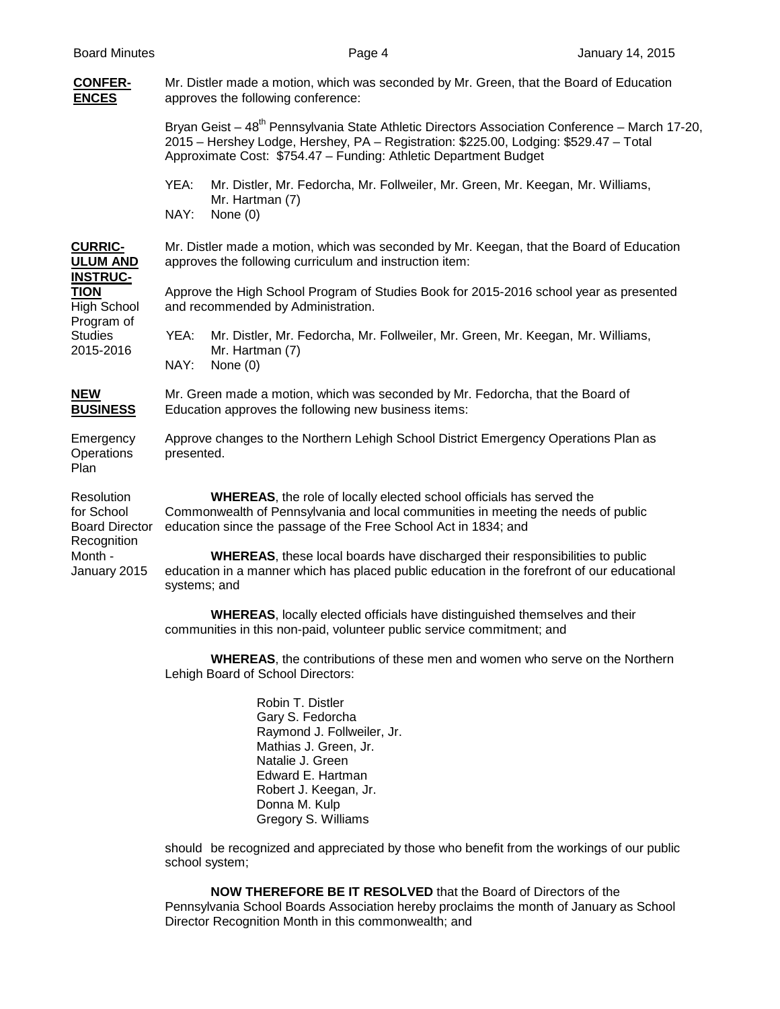### **CONFER-** Mr. Distler made a motion, which was seconded by Mr. Green, that the Board of Education **ENCES** approves the following conference: Bryan Geist –  $48<sup>th</sup>$  Pennsylvania State Athletic Directors Association Conference – March 17-20, 2015 – Hershey Lodge, Hershey, PA – Registration: \$225.00, Lodging: \$529.47 – Total Approximate Cost: \$754.47 – Funding: Athletic Department Budget YEA: Mr. Distler, Mr. Fedorcha, Mr. Follweiler, Mr. Green, Mr. Keegan, Mr. Williams, Mr. Hartman (7) NAY: None (0) **CURRIC-** Mr. Distler made a motion, which was seconded by Mr. Keegan, that the Board of Education **ULUM AND** approves the following curriculum and instruction item: **INSTRUC-TION** Approve the High School Program of Studies Book for 2015-2016 school year as presented High School and recommended by Administration. Program of<br>Studies Studies YEA: Mr. Distler, Mr. Fedorcha, Mr. Follweiler, Mr. Green, Mr. Keegan, Mr. Williams, 2015-2016 Mr. Hartman (7) Mr. Hartman (7) NAY: None (0) **NEW** Mr. Green made a motion, which was seconded by Mr. Fedorcha, that the Board of **BUSINESS** Education approves the following new business items: Education approves the following new business items: Emergency Approve changes to the Northern Lehigh School District Emergency Operations Plan as Operations presented. Plan Resolution **WHEREAS**, the role of locally elected school officials has served the for School Commonwealth of Pennsylvania and local communities in meeting the needs of public Board Director education since the passage of the Free School Act in 1834; and Recognition Month - **WHEREAS**, these local boards have discharged their responsibilities to public January 2015 education in a manner which has placed public education in the forefront of our educational systems; and **WHEREAS**, locally elected officials have distinguished themselves and their communities in this non-paid, volunteer public service commitment; and **WHEREAS**, the contributions of these men and women who serve on the Northern

Lehigh Board of School Directors:

Robin T. Distler Gary S. Fedorcha Raymond J. Follweiler, Jr. Mathias J. Green, Jr. Natalie J. Green Edward E. Hartman Robert J. Keegan, Jr. Donna M. Kulp Gregory S. Williams

should be recognized and appreciated by those who benefit from the workings of our public school system;

**NOW THEREFORE BE IT RESOLVED** that the Board of Directors of the Pennsylvania School Boards Association hereby proclaims the month of January as School Director Recognition Month in this commonwealth; and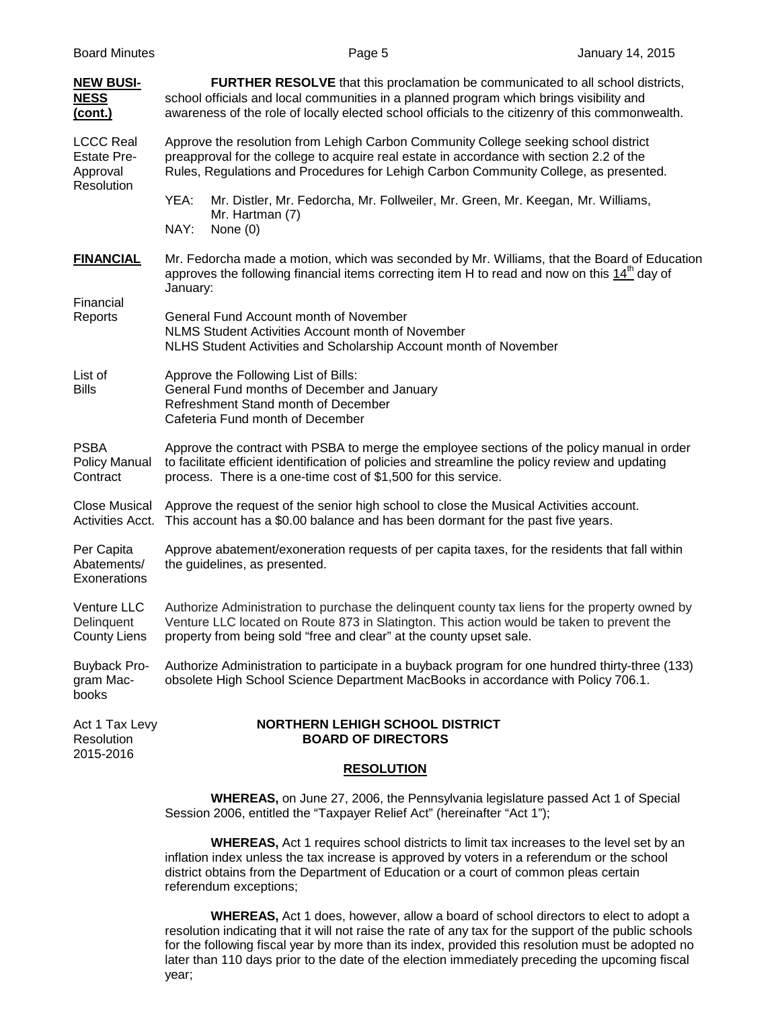| <b>NEW BUSI-</b><br><b>NESS</b><br>(cont.)                       | <b>FURTHER RESOLVE</b> that this proclamation be communicated to all school districts,<br>school officials and local communities in a planned program which brings visibility and<br>awareness of the role of locally elected school officials to the citizenry of this commonwealth. |  |  |  |  |
|------------------------------------------------------------------|---------------------------------------------------------------------------------------------------------------------------------------------------------------------------------------------------------------------------------------------------------------------------------------|--|--|--|--|
| <b>LCCC Real</b><br><b>Estate Pre-</b><br>Approval<br>Resolution | Approve the resolution from Lehigh Carbon Community College seeking school district<br>preapproval for the college to acquire real estate in accordance with section 2.2 of the<br>Rules, Regulations and Procedures for Lehigh Carbon Community College, as presented.               |  |  |  |  |
|                                                                  | YEA:<br>Mr. Distler, Mr. Fedorcha, Mr. Follweiler, Mr. Green, Mr. Keegan, Mr. Williams,<br>Mr. Hartman (7)<br>NAY:<br>None $(0)$                                                                                                                                                      |  |  |  |  |
| <b>FINANCIAL</b>                                                 | Mr. Fedorcha made a motion, which was seconded by Mr. Williams, that the Board of Education<br>approves the following financial items correcting item H to read and now on this $14^{\circ}$ day of<br>January:                                                                       |  |  |  |  |
| Financial<br>Reports                                             | General Fund Account month of November<br>NLMS Student Activities Account month of November<br>NLHS Student Activities and Scholarship Account month of November                                                                                                                      |  |  |  |  |
| List of<br><b>Bills</b>                                          | Approve the Following List of Bills:<br>General Fund months of December and January<br>Refreshment Stand month of December<br>Cafeteria Fund month of December                                                                                                                        |  |  |  |  |
| <b>PSBA</b><br><b>Policy Manual</b><br>Contract                  | Approve the contract with PSBA to merge the employee sections of the policy manual in order<br>to facilitate efficient identification of policies and streamline the policy review and updating<br>process. There is a one-time cost of \$1,500 for this service.                     |  |  |  |  |
| <b>Close Musical</b><br>Activities Acct.                         | Approve the request of the senior high school to close the Musical Activities account.<br>This account has a \$0.00 balance and has been dormant for the past five years.                                                                                                             |  |  |  |  |
| Per Capita<br>Abatements/<br>Exonerations                        | Approve abatement/exoneration requests of per capita taxes, for the residents that fall within<br>the guidelines, as presented.                                                                                                                                                       |  |  |  |  |
| Venture LLC<br>Delinquent<br><b>County Liens</b>                 | Authorize Administration to purchase the delinguent county tax liens for the property owned by<br>Venture LLC located on Route 873 in Slatington. This action would be taken to prevent the<br>property from being sold "free and clear" at the county upset sale.                    |  |  |  |  |
| <b>Buyback Pro-</b><br>gram Mac-<br>books                        | Authorize Administration to participate in a buyback program for one hundred thirty-three (133)<br>obsolete High School Science Department MacBooks in accordance with Policy 706.1.                                                                                                  |  |  |  |  |
| Act 1 Tax Levy<br>Resolution<br>2015-2016                        | <b>NORTHERN LEHIGH SCHOOL DISTRICT</b><br><b>BOARD OF DIRECTORS</b>                                                                                                                                                                                                                   |  |  |  |  |
|                                                                  | <b>RESOLUTION</b>                                                                                                                                                                                                                                                                     |  |  |  |  |
|                                                                  | <b>WHEREAS</b> , on June 27, 2006, the Pennsylvania legislature passed Act 1 of Special<br>Session 2006, entitled the "Taxpayer Relief Act" (hereinafter "Act 1");                                                                                                                    |  |  |  |  |

**WHEREAS,** Act 1 requires school districts to limit tax increases to the level set by an inflation index unless the tax increase is approved by voters in a referendum or the school district obtains from the Department of Education or a court of common pleas certain referendum exceptions;

**WHEREAS,** Act 1 does, however, allow a board of school directors to elect to adopt a resolution indicating that it will not raise the rate of any tax for the support of the public schools for the following fiscal year by more than its index, provided this resolution must be adopted no later than 110 days prior to the date of the election immediately preceding the upcoming fiscal year;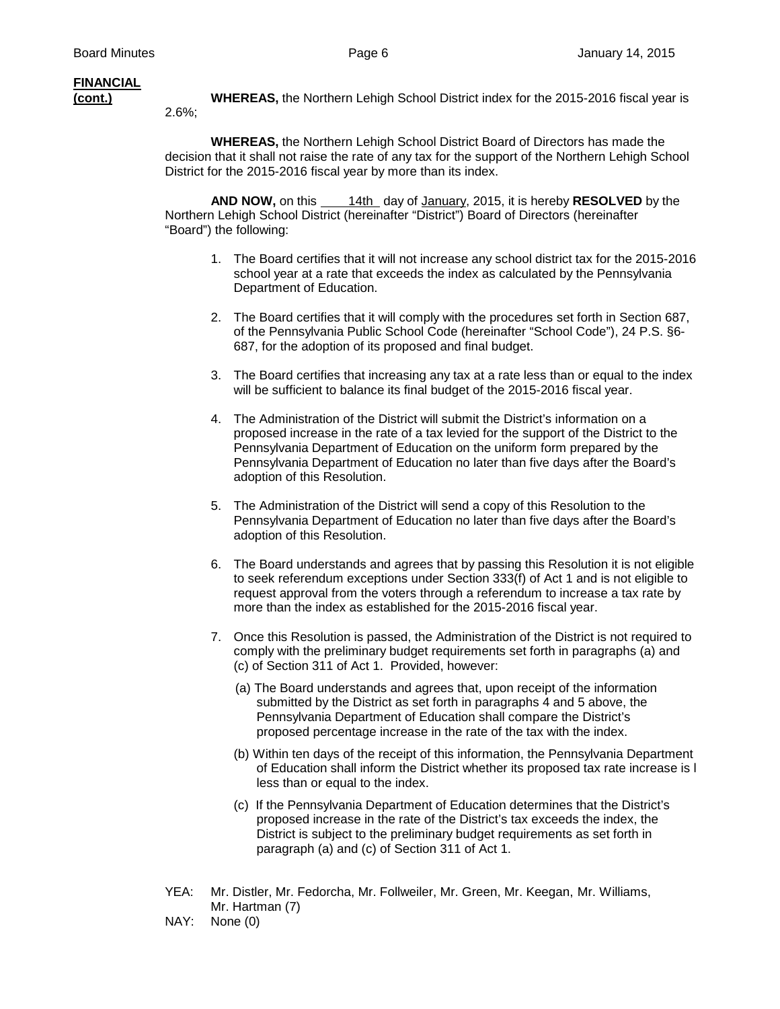## **FINANCIAL**

2.6%;

**(cont.) WHEREAS,** the Northern Lehigh School District index for the 2015-2016 fiscal year is

**WHEREAS,** the Northern Lehigh School District Board of Directors has made the decision that it shall not raise the rate of any tax for the support of the Northern Lehigh School District for the 2015-2016 fiscal year by more than its index.

**AND NOW,** on this 14th day of January, 2015, it is hereby **RESOLVED** by the Northern Lehigh School District (hereinafter "District") Board of Directors (hereinafter "Board") the following:

- 1. The Board certifies that it will not increase any school district tax for the 2015-2016 school year at a rate that exceeds the index as calculated by the Pennsylvania Department of Education.
- 2. The Board certifies that it will comply with the procedures set forth in Section 687, of the Pennsylvania Public School Code (hereinafter "School Code"), 24 P.S. §6- 687, for the adoption of its proposed and final budget.
- 3. The Board certifies that increasing any tax at a rate less than or equal to the index will be sufficient to balance its final budget of the 2015-2016 fiscal year.
- 4. The Administration of the District will submit the District's information on a proposed increase in the rate of a tax levied for the support of the District to the Pennsylvania Department of Education on the uniform form prepared by the Pennsylvania Department of Education no later than five days after the Board's adoption of this Resolution.
- 5. The Administration of the District will send a copy of this Resolution to the Pennsylvania Department of Education no later than five days after the Board's adoption of this Resolution.
- 6. The Board understands and agrees that by passing this Resolution it is not eligible to seek referendum exceptions under Section 333(f) of Act 1 and is not eligible to request approval from the voters through a referendum to increase a tax rate by more than the index as established for the 2015-2016 fiscal year.
- 7. Once this Resolution is passed, the Administration of the District is not required to comply with the preliminary budget requirements set forth in paragraphs (a) and (c) of Section 311 of Act 1. Provided, however:
	- (a) The Board understands and agrees that, upon receipt of the information submitted by the District as set forth in paragraphs 4 and 5 above, the Pennsylvania Department of Education shall compare the District's proposed percentage increase in the rate of the tax with the index.
	- (b) Within ten days of the receipt of this information, the Pennsylvania Department of Education shall inform the District whether its proposed tax rate increase is l less than or equal to the index.
	- (c) If the Pennsylvania Department of Education determines that the District's proposed increase in the rate of the District's tax exceeds the index, the District is subject to the preliminary budget requirements as set forth in paragraph (a) and (c) of Section 311 of Act 1.
- YEA: Mr. Distler, Mr. Fedorcha, Mr. Follweiler, Mr. Green, Mr. Keegan, Mr. Williams, Mr. Hartman (7)
- NAY: None (0)